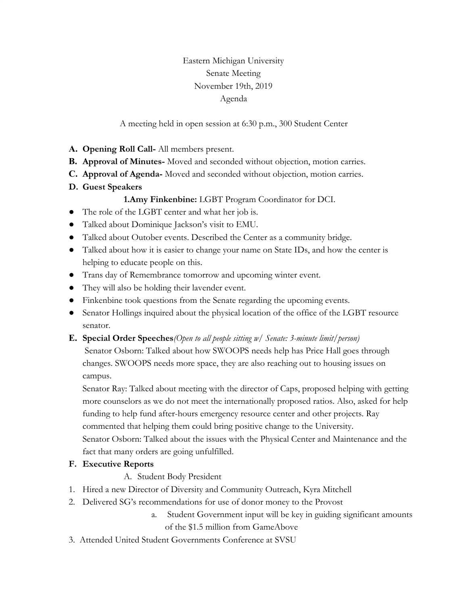Eastern Michigan University Senate Meeting November 19th, 2019 Agenda

A meeting held in open session at 6:30 p.m., 300 Student Center

- **A. Opening Roll Call-** All members present.
- **B. Approval of Minutes-** Moved and seconded without objection, motion carries.
- **C. Approval of Agenda-** Moved and seconded without objection, motion carries.
- **D. Guest Speakers**

### **1.Amy Finkenbine:** LGBT Program Coordinator for DCI.

- The role of the LGBT center and what her job is.
- Talked about Dominique Jackson's visit to EMU.
- Talked about Outober events. Described the Center as a community bridge.
- Talked about how it is easier to change your name on State IDs, and how the center is helping to educate people on this.
- Trans day of Remembrance tomorrow and upcoming winter event.
- They will also be holding their lavender event.
- Finkenbine took questions from the Senate regarding the upcoming events.
- Senator Hollings inquired about the physical location of the office of the LGBT resource senator.

### **E. Special Order Speeches***(Open to all people sitting w/ Senate: 3-minute limit/person)*

Senator Osborn: Talked about how SWOOPS needs help has Price Hall goes through changes. SWOOPS needs more space, they are also reaching out to housing issues on campus.

Senator Ray: Talked about meeting with the director of Caps, proposed helping with getting more counselors as we do not meet the internationally proposed ratios. Also, asked for help funding to help fund after-hours emergency resource center and other projects. Ray commented that helping them could bring positive change to the University. Senator Osborn: Talked about the issues with the Physical Center and Maintenance and the fact that many orders are going unfulfilled.

## **F. Executive Reports**

- A. Student Body President
- 1. Hired a new Director of Diversity and Community Outreach, Kyra Mitchell
- 2. Delivered SG's recommendations for use of donor money to the Provost
	- a. Student Government input will be key in guiding significant amounts of the \$1.5 million from GameAbove
- 3. Attended United Student Governments Conference at SVSU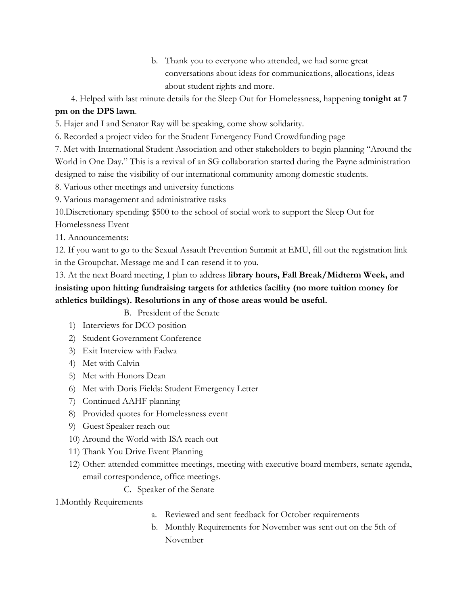b. Thank you to everyone who attended, we had some great conversations about ideas for communications, allocations, ideas about student rights and more.

 4. Helped with last minute details for the Sleep Out for Homelessness, happening **tonight at 7 pm on the DPS lawn**.

5. Hajer and I and Senator Ray will be speaking, come show solidarity.

6. Recorded a project video for the Student Emergency Fund Crowdfunding page

7. Met with International Student Association and other stakeholders to begin planning "Around the World in One Day." This is a revival of an SG collaboration started during the Payne administration designed to raise the visibility of our international community among domestic students.

8. Various other meetings and university functions

9. Various management and administrative tasks

10.Discretionary spending: \$500 to the school of social work to support the Sleep Out for

Homelessness Event

11. Announcements:

12. If you want to go to the Sexual Assault Prevention Summit at EMU, fill out the registration link in the Groupchat. Message me and I can resend it to you.

13. At the next Board meeting, I plan to address **library hours, Fall Break/Midterm Week, and insisting upon hitting fundraising targets for athletics facility (no more tuition money for athletics buildings). Resolutions in any of those areas would be useful.**

B. President of the Senate

- 1) Interviews for DCO position
- 2) Student Government Conference
- 3) Exit Interview with Fadwa
- 4) Met with Calvin
- 5) Met with Honors Dean
- 6) Met with Doris Fields: Student Emergency Letter
- 7) Continued AAHF planning
- 8) Provided quotes for Homelessness event
- 9) Guest Speaker reach out
- 10) Around the World with ISA reach out
- 11) Thank You Drive Event Planning
- 12) Other: attended committee meetings, meeting with executive board members, senate agenda, email correspondence, office meetings.
	- C. Speaker of the Senate

1.Monthly Requirements

- a. Reviewed and sent feedback for October requirements
- b. Monthly Requirements for November was sent out on the 5th of November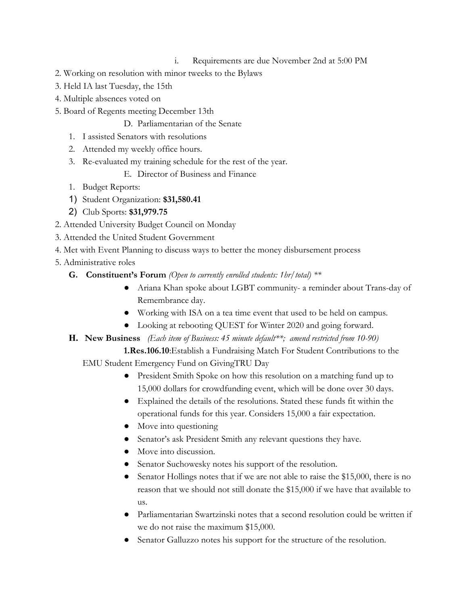- i. Requirements are due November 2nd at 5:00 PM
- 2. Working on resolution with minor tweeks to the Bylaws
- 3. Held IA last Tuesday, the 15th
- 4. Multiple absences voted on
- 5. Board of Regents meeting December 13th
	- D. Parliamentarian of the Senate
	- 1. I assisted Senators with resolutions
	- 2. Attended my weekly office hours.
	- 3. Re-evaluated my training schedule for the rest of the year.
		- E. Director of Business and Finance
	- 1. Budget Reports:
	- 1) Student Organization: **\$31,580.41**
	- 2) Club Sports: **\$31,979.75**
- 2. Attended University Budget Council on Monday
- 3. Attended the United Student Government
- 4. Met with Event Planning to discuss ways to better the money disbursement process
- 5. Administrative roles
	- **G. Constituent's Forum** *(Open to currently enrolled students: 1hr/total) \*\**
		- Ariana Khan spoke about LGBT community- a reminder about Trans-day of Remembrance day.
		- Working with ISA on a tea time event that used to be held on campus.
		- Looking at rebooting QUEST for Winter 2020 and going forward.

# **H. New Business** *(Each item of Business: 45 minute default\*\*; amend restricted from 10-90)*

**1.Res.106.10**: Establish a Fundraising Match For Student Contributions to the EMU Student Emergency Fund on GivingTRU Day

- President Smith Spoke on how this resolution on a matching fund up to 15,000 dollars for crowdfunding event, which will be done over 30 days.
- Explained the details of the resolutions. Stated these funds fit within the operational funds for this year. Considers 15,000 a fair expectation.
- Move into questioning
- Senator's ask President Smith any relevant questions they have.
- Move into discussion.
- Senator Suchowesky notes his support of the resolution.
- Senator Hollings notes that if we are not able to raise the \$15,000, there is no reason that we should not still donate the \$15,000 if we have that available to us.
- Parliamentarian Swartzinski notes that a second resolution could be written if we do not raise the maximum \$15,000.
- Senator Galluzzo notes his support for the structure of the resolution.